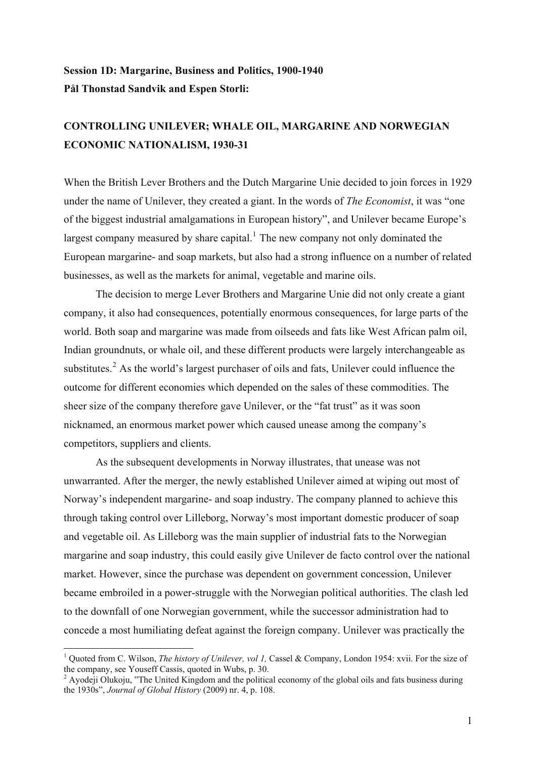# **Session 1D: Margarine, Business and Politics, 1900-1940 Pål Thonstad Sandvik and Espen Storli:**

# **CONTROLLING UNILEVER; WHALE OIL, MARGARINE AND NORWEGIAN ECONOMIC NATIONALISM, 1930-31**

When the British Lever Brothers and the Dutch Margarine Unie decided to join forces in 1929 under the name of Unilever, they created a giant. In the words of *The Economist*, it was "one of the biggest industrial amalgamations in European history", and Unilever became Europe's largest company measured by share capital.<sup>[1](#page-0-0)</sup> The new company not only dominated the European margarine- and soap markets, but also had a strong influence on a number of related businesses, as well as the markets for animal, vegetable and marine oils.

 The decision to merge Lever Brothers and Margarine Unie did not only create a giant company, it also had consequences, potentially enormous consequences, for large parts of the world. Both soap and margarine was made from oilseeds and fats like West African palm oil, Indian groundnuts, or whale oil, and these different products were largely interchangeable as substitutes.<sup>[2](#page-0-1)</sup> As the world's largest purchaser of oils and fats, Unilever could influence the outcome for different economies which depended on the sales of these commodities. The sheer size of the company therefore gave Unilever, or the "fat trust" as it was soon nicknamed, an enormous market power which caused unease among the company's competitors, suppliers and clients.

 As the subsequent developments in Norway illustrates, that unease was not unwarranted. After the merger, the newly established Unilever aimed at wiping out most of Norway's independent margarine- and soap industry. The company planned to achieve this through taking control over Lilleborg, Norway's most important domestic producer of soap and vegetable oil. As Lilleborg was the main supplier of industrial fats to the Norwegian margarine and soap industry, this could easily give Unilever de facto control over the national market. However, since the purchase was dependent on government concession, Unilever became embroiled in a power-struggle with the Norwegian political authorities. The clash led to the downfall of one Norwegian government, while the successor administration had to concede a most humiliating defeat against the foreign company. Unilever was practically the

<span id="page-0-0"></span><sup>&</sup>lt;sup>1</sup> Quoted from C. Wilson, *The history of Unilever, vol 1*, Cassel & Company, London 1954: xvii. For the size of the company, see Youseff Cassis, quoted in Wubs, p. 30. 2

<span id="page-0-1"></span><sup>&</sup>lt;sup>2</sup> Ayodeji Olukoju, "The United Kingdom and the political economy of the global oils and fats business during the 1930s", *Journal of Global History* (2009) nr. 4, p. 108.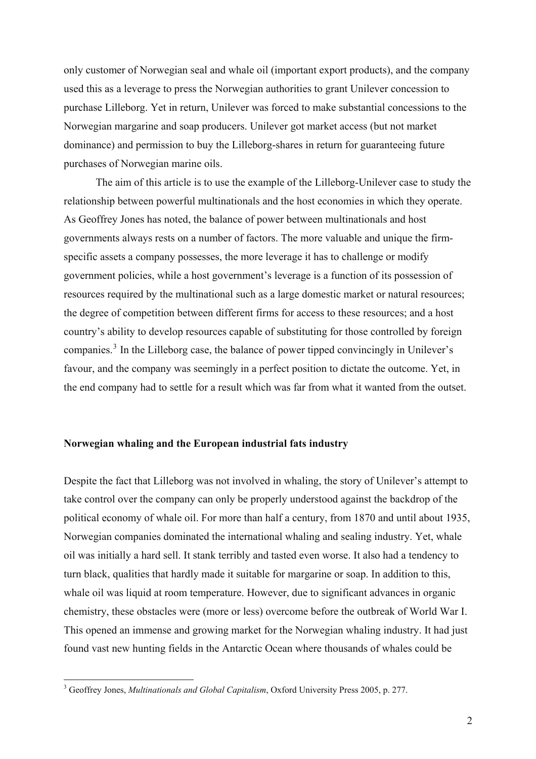only customer of Norwegian seal and whale oil (important export products), and the company used this as a leverage to press the Norwegian authorities to grant Unilever concession to purchase Lilleborg. Yet in return, Unilever was forced to make substantial concessions to the Norwegian margarine and soap producers. Unilever got market access (but not market dominance) and permission to buy the Lilleborg-shares in return for guaranteeing future purchases of Norwegian marine oils.

 The aim of this article is to use the example of the Lilleborg-Unilever case to study the relationship between powerful multinationals and the host economies in which they operate. As Geoffrey Jones has noted, the balance of power between multinationals and host governments always rests on a number of factors. The more valuable and unique the firmspecific assets a company possesses, the more leverage it has to challenge or modify government policies, while a host government's leverage is a function of its possession of resources required by the multinational such as a large domestic market or natural resources; the degree of competition between different firms for access to these resources; and a host country's ability to develop resources capable of substituting for those controlled by foreign companies.<sup>[3](#page-1-0)</sup> In the Lilleborg case, the balance of power tipped convincingly in Unilever's favour, and the company was seemingly in a perfect position to dictate the outcome. Yet, in the end company had to settle for a result which was far from what it wanted from the outset.

### **Norwegian whaling and the European industrial fats industry**

Despite the fact that Lilleborg was not involved in whaling, the story of Unilever's attempt to take control over the company can only be properly understood against the backdrop of the political economy of whale oil. For more than half a century, from 1870 and until about 1935, Norwegian companies dominated the international whaling and sealing industry. Yet, whale oil was initially a hard sell. It stank terribly and tasted even worse. It also had a tendency to turn black, qualities that hardly made it suitable for margarine or soap. In addition to this, whale oil was liquid at room temperature. However, due to significant advances in organic chemistry, these obstacles were (more or less) overcome before the outbreak of World War I. This opened an immense and growing market for the Norwegian whaling industry. It had just found vast new hunting fields in the Antarctic Ocean where thousands of whales could be

<span id="page-1-0"></span><sup>3</sup> Geoffrey Jones, *Multinationals and Global Capitalism*, Oxford University Press 2005, p. 277.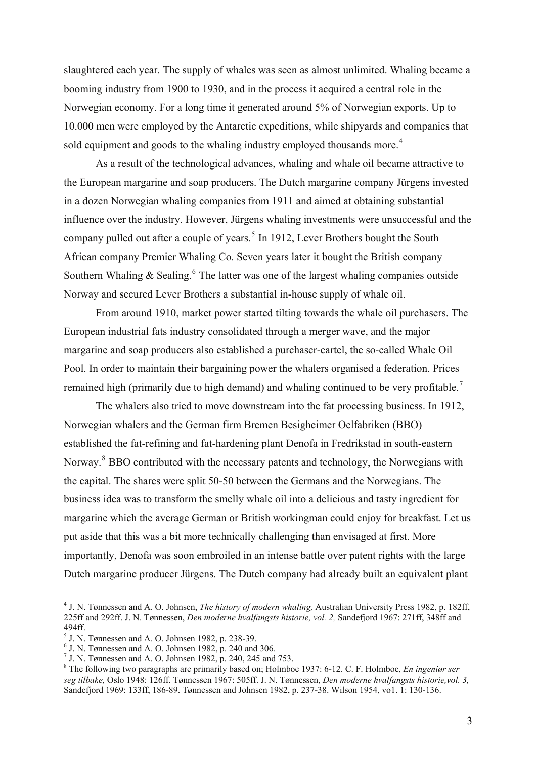slaughtered each year. The supply of whales was seen as almost unlimited. Whaling became a booming industry from 1900 to 1930, and in the process it acquired a central role in the Norwegian economy. For a long time it generated around 5% of Norwegian exports. Up to 10.000 men were employed by the Antarctic expeditions, while shipyards and companies that sold equipment and goods to the whaling industry employed thousands more.<sup>[4](#page-2-0)</sup>

 As a result of the technological advances, whaling and whale oil became attractive to the European margarine and soap producers. The Dutch margarine company Jürgens invested in a dozen Norwegian whaling companies from 1911 and aimed at obtaining substantial influence over the industry. However, Jürgens whaling investments were unsuccessful and the company pulled out after a couple of years.<sup>[5](#page-2-1)</sup> In 1912, Lever Brothers bought the South African company Premier Whaling Co. Seven years later it bought the British company Southern Whaling  $&$  Sealing.<sup>[6](#page-2-2)</sup> The latter was one of the largest whaling companies outside Norway and secured Lever Brothers a substantial in-house supply of whale oil.

From around 1910, market power started tilting towards the whale oil purchasers. The European industrial fats industry consolidated through a merger wave, and the major margarine and soap producers also established a purchaser-cartel, the so-called Whale Oil Pool. In order to maintain their bargaining power the whalers organised a federation. Prices remained high (primarily due to high demand) and whaling continued to be very profitable.<sup>[7](#page-2-3)</sup>

The whalers also tried to move downstream into the fat processing business. In 1912, Norwegian whalers and the German firm Bremen Besigheimer Oelfabriken (BBO) established the fat-refining and fat-hardening plant Denofa in Fredrikstad in south-eastern Norway.<sup>[8](#page-2-4)</sup> BBO contributed with the necessary patents and technology, the Norwegians with the capital. The shares were split 50-50 between the Germans and the Norwegians. The business idea was to transform the smelly whale oil into a delicious and tasty ingredient for margarine which the average German or British workingman could enjoy for breakfast. Let us put aside that this was a bit more technically challenging than envisaged at first. More importantly, Denofa was soon embroiled in an intense battle over patent rights with the large Dutch margarine producer Jürgens. The Dutch company had already built an equivalent plant

<span id="page-2-0"></span><sup>4</sup> J. N. Tønnessen and A. O. Johnsen, *The history of modern whaling,* Australian University Press 1982, p. 182ff, 225ff and 292ff. J. N. Tønnessen, *Den moderne hvalfangsts historie, vol. 2,* Sandefjord 1967: 271ff, 348ff and 494ff.

<span id="page-2-1"></span> $<sup>5</sup>$  J. N. Tønnessen and A. O. Johnsen 1982, p. 238-39.</sup>

<span id="page-2-2"></span> $<sup>6</sup>$  J. N. Tønnessen and A. O. Johnsen 1982, p. 240 and 306.</sup>

<span id="page-2-3"></span><sup>7</sup> J. N. Tønnessen and A. O. Johnsen 1982, p. 240, 245 and 753.

<span id="page-2-4"></span><sup>8</sup> The following two paragraphs are primarily based on; Holmboe 1937: 6-12. C. F. Holmboe, *En ingeniør ser seg tilbake,* Oslo 1948: 126ff. Tønnessen 1967: 505ff. J. N. Tønnessen, *Den moderne hvalfangsts historie,vol. 3,*  Sandefjord 1969: 133ff, 186-89. Tønnessen and Johnsen 1982, p. 237-38. Wilson 1954, vo1. 1: 130-136.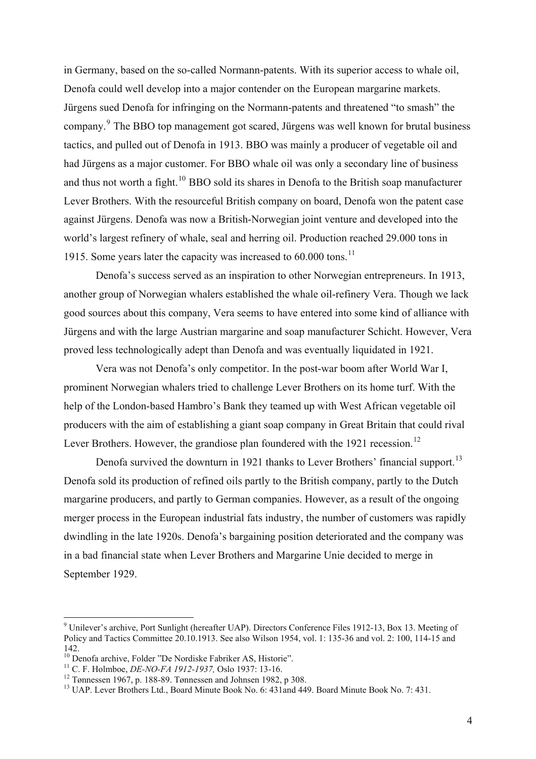in Germany, based on the so-called Normann-patents. With its superior access to whale oil, Denofa could well develop into a major contender on the European margarine markets. Jürgens sued Denofa for infringing on the Normann-patents and threatened "to smash" the company.<sup>[9](#page-3-0)</sup> The BBO top management got scared, Jürgens was well known for brutal business tactics, and pulled out of Denofa in 1913. BBO was mainly a producer of vegetable oil and had Jürgens as a major customer. For BBO whale oil was only a secondary line of business and thus not worth a fight.<sup>[10](#page-3-1)</sup> BBO sold its shares in Denofa to the British soap manufacturer Lever Brothers. With the resourceful British company on board, Denofa won the patent case against Jürgens. Denofa was now a British-Norwegian joint venture and developed into the world's largest refinery of whale, seal and herring oil. Production reached 29.000 tons in 1915. Some years later the capacity was increased to  $60.000$  tons.<sup>[11](#page-3-2)</sup>

Denofa's success served as an inspiration to other Norwegian entrepreneurs. In 1913, another group of Norwegian whalers established the whale oil-refinery Vera. Though we lack good sources about this company, Vera seems to have entered into some kind of alliance with Jürgens and with the large Austrian margarine and soap manufacturer Schicht. However, Vera proved less technologically adept than Denofa and was eventually liquidated in 1921.

Vera was not Denofa's only competitor. In the post-war boom after World War I, prominent Norwegian whalers tried to challenge Lever Brothers on its home turf. With the help of the London-based Hambro's Bank they teamed up with West African vegetable oil producers with the aim of establishing a giant soap company in Great Britain that could rival Lever Brothers. However, the grandiose plan foundered with the 1921 recession.<sup>[12](#page-3-3)</sup>

Denofa survived the downturn in 1921 thanks to Lever Brothers' financial support.<sup>[13](#page-3-4)</sup> Denofa sold its production of refined oils partly to the British company, partly to the Dutch margarine producers, and partly to German companies. However, as a result of the ongoing merger process in the European industrial fats industry, the number of customers was rapidly dwindling in the late 1920s. Denofa's bargaining position deteriorated and the company was in a bad financial state when Lever Brothers and Margarine Unie decided to merge in September 1929.

<span id="page-3-0"></span><sup>&</sup>lt;sup>9</sup> Unilever's archive, Port Sunlight (hereafter UAP). Directors Conference Files 1912-13, Box 13. Meeting of Policy and Tactics Committee 20.10.1913. See also Wilson 1954, vol. 1: 135-36 and vol. 2: 100, 114-15 and 142.<br><sup>10</sup> Denofa archive, Folder "De Nordiske Fabriker AS, Historie".

<span id="page-3-1"></span>

<span id="page-3-2"></span><sup>&</sup>lt;sup>11</sup> C. F. Holmboe, *DE-NO-FA 1912-1937*, Oslo 1937: 13-16. <sup>12</sup> Tønnessen 1967, p. 188-89. Tønnessen and Johnsen 1982, p 308.

<span id="page-3-4"></span><span id="page-3-3"></span><sup>&</sup>lt;sup>13</sup> UAP. Lever Brothers Ltd., Board Minute Book No. 6:  $431$  and 449. Board Minute Book No. 7: 431.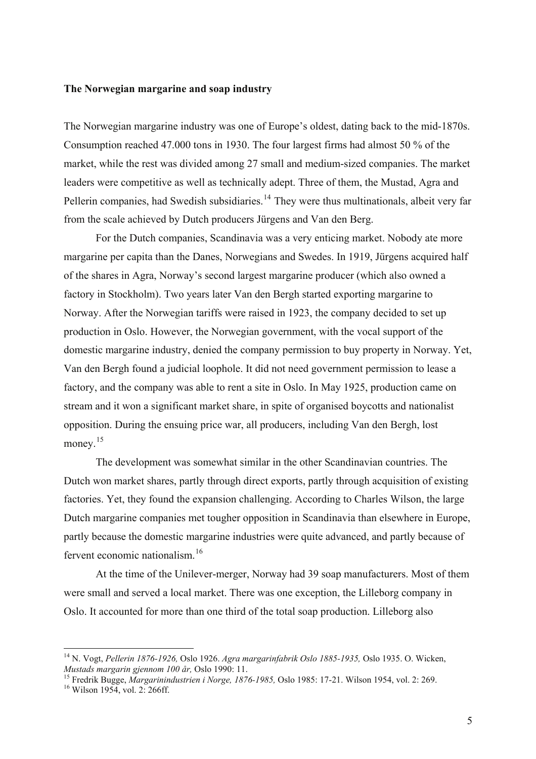#### **The Norwegian margarine and soap industry**

The Norwegian margarine industry was one of Europe's oldest, dating back to the mid-1870s. Consumption reached 47.000 tons in 1930. The four largest firms had almost 50 % of the market, while the rest was divided among 27 small and medium-sized companies. The market leaders were competitive as well as technically adept. Three of them, the Mustad, Agra and Pellerin companies, had Swedish subsidiaries.<sup>[14](#page-4-0)</sup> They were thus multinationals, albeit very far from the scale achieved by Dutch producers Jürgens and Van den Berg.

 For the Dutch companies, Scandinavia was a very enticing market. Nobody ate more margarine per capita than the Danes, Norwegians and Swedes. In 1919, Jürgens acquired half of the shares in Agra, Norway's second largest margarine producer (which also owned a factory in Stockholm). Two years later Van den Bergh started exporting margarine to Norway. After the Norwegian tariffs were raised in 1923, the company decided to set up production in Oslo. However, the Norwegian government, with the vocal support of the domestic margarine industry, denied the company permission to buy property in Norway. Yet, Van den Bergh found a judicial loophole. It did not need government permission to lease a factory, and the company was able to rent a site in Oslo. In May 1925, production came on stream and it won a significant market share, in spite of organised boycotts and nationalist opposition. During the ensuing price war, all producers, including Van den Bergh, lost money.<sup>[15](#page-4-1)</sup>

 The development was somewhat similar in the other Scandinavian countries. The Dutch won market shares, partly through direct exports, partly through acquisition of existing factories. Yet, they found the expansion challenging. According to Charles Wilson, the large Dutch margarine companies met tougher opposition in Scandinavia than elsewhere in Europe, partly because the domestic margarine industries were quite advanced, and partly because of fervent economic nationalism.[16](#page-4-2)

 At the time of the Unilever-merger, Norway had 39 soap manufacturers. Most of them were small and served a local market. There was one exception, the Lilleborg company in Oslo. It accounted for more than one third of the total soap production. Lilleborg also

<span id="page-4-0"></span><sup>&</sup>lt;sup>14</sup> N. Vogt, *Pellerin 1876-1926*, Oslo 1926. *Agra margarinfabrik Oslo 1885-1935*, Oslo 1935. O. Wicken, *Mustads margarin gjennom 100 år*, Oslo 1990: 11.

<span id="page-4-1"></span><sup>&</sup>lt;sup>15</sup> Fredrik Bugge, *Margarinindustrien i Norge, 1876-1985*, Oslo 1985: 17-21. Wilson 1954, vol. 2: 269.<br><sup>16</sup> Wilson 1954. vol. 2: 266ff.

<span id="page-4-2"></span>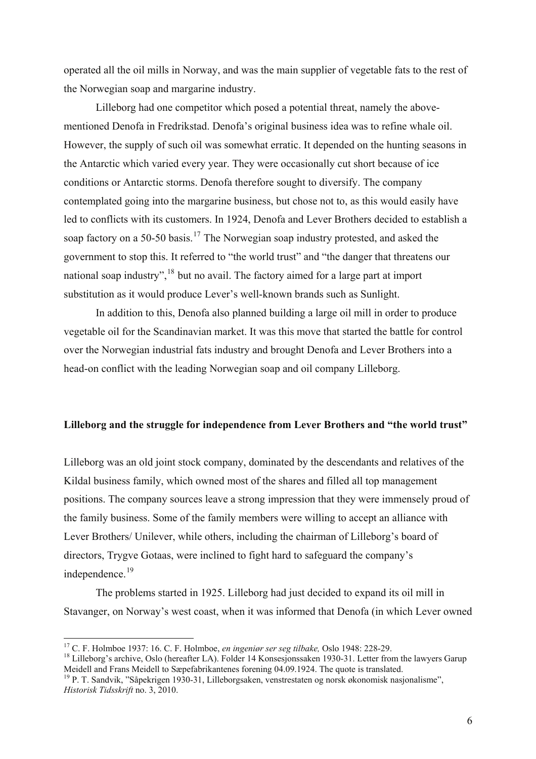operated all the oil mills in Norway, and was the main supplier of vegetable fats to the rest of the Norwegian soap and margarine industry.

 Lilleborg had one competitor which posed a potential threat, namely the abovementioned Denofa in Fredrikstad. Denofa's original business idea was to refine whale oil. However, the supply of such oil was somewhat erratic. It depended on the hunting seasons in the Antarctic which varied every year. They were occasionally cut short because of ice conditions or Antarctic storms. Denofa therefore sought to diversify. The company contemplated going into the margarine business, but chose not to, as this would easily have led to conflicts with its customers. In 1924, Denofa and Lever Brothers decided to establish a soap factory on a 50-50 basis.<sup>[17](#page-5-0)</sup> The Norwegian soap industry protested, and asked the government to stop this. It referred to "the world trust" and "the danger that threatens our national soap industry", <sup>[18](#page-5-1)</sup> but no avail. The factory aimed for a large part at import substitution as it would produce Lever's well-known brands such as Sunlight.

In addition to this, Denofa also planned building a large oil mill in order to produce vegetable oil for the Scandinavian market. It was this move that started the battle for control over the Norwegian industrial fats industry and brought Denofa and Lever Brothers into a head-on conflict with the leading Norwegian soap and oil company Lilleborg.

#### **Lilleborg and the struggle for independence from Lever Brothers and "the world trust"**

Lilleborg was an old joint stock company, dominated by the descendants and relatives of the Kildal business family, which owned most of the shares and filled all top management positions. The company sources leave a strong impression that they were immensely proud of the family business. Some of the family members were willing to accept an alliance with Lever Brothers/ Unilever, while others, including the chairman of Lilleborg's board of directors, Trygve Gotaas, were inclined to fight hard to safeguard the company's independence.<sup>[19](#page-5-2)</sup>

 The problems started in 1925. Lilleborg had just decided to expand its oil mill in Stavanger, on Norway's west coast, when it was informed that Denofa (in which Lever owned

<span id="page-5-0"></span><sup>&</sup>lt;sup>17</sup> C. F. Holmboe 1937: 16. C. F. Holmboe, en ingeniør ser seg tilbake, Oslo 1948: 228-29.

<span id="page-5-1"></span><sup>&</sup>lt;sup>18</sup> Lilleborg's archive, Oslo (hereafter LA). Folder 14 Konsesjonssaken 1930-31. Letter from the lawyers Garup Meidell and Frans Meidell to Sæpefabrikantenes forening 04.09.1924. The quote is translated.<br><sup>19</sup> P. T. Sandvik, "Såpekrigen 1930-31, Lilleborgsaken, venstrestaten og norsk økonomisk nasjonalisme",

<span id="page-5-2"></span>*Historisk Tidsskrift* no. 3, 2010.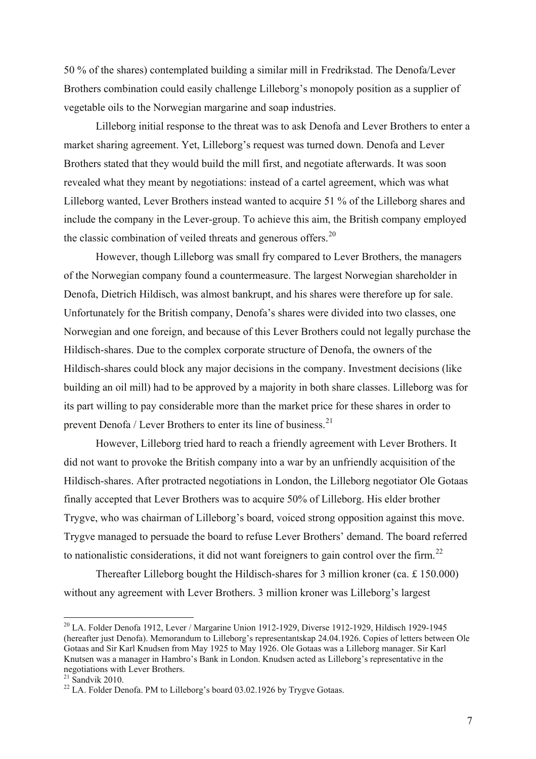50 % of the shares) contemplated building a similar mill in Fredrikstad. The Denofa/Lever Brothers combination could easily challenge Lilleborg's monopoly position as a supplier of vegetable oils to the Norwegian margarine and soap industries.

 Lilleborg initial response to the threat was to ask Denofa and Lever Brothers to enter a market sharing agreement. Yet, Lilleborg's request was turned down. Denofa and Lever Brothers stated that they would build the mill first, and negotiate afterwards. It was soon revealed what they meant by negotiations: instead of a cartel agreement, which was what Lilleborg wanted, Lever Brothers instead wanted to acquire 51 % of the Lilleborg shares and include the company in the Lever-group. To achieve this aim, the British company employed the classic combination of veiled threats and generous offers. $20$ 

 However, though Lilleborg was small fry compared to Lever Brothers, the managers of the Norwegian company found a countermeasure. The largest Norwegian shareholder in Denofa, Dietrich Hildisch, was almost bankrupt, and his shares were therefore up for sale. Unfortunately for the British company, Denofa's shares were divided into two classes, one Norwegian and one foreign, and because of this Lever Brothers could not legally purchase the Hildisch-shares. Due to the complex corporate structure of Denofa, the owners of the Hildisch-shares could block any major decisions in the company. Investment decisions (like building an oil mill) had to be approved by a majority in both share classes. Lilleborg was for its part willing to pay considerable more than the market price for these shares in order to prevent Denofa / Lever Brothers to enter its line of business.<sup>[21](#page-6-1)</sup>

 However, Lilleborg tried hard to reach a friendly agreement with Lever Brothers. It did not want to provoke the British company into a war by an unfriendly acquisition of the Hildisch-shares. After protracted negotiations in London, the Lilleborg negotiator Ole Gotaas finally accepted that Lever Brothers was to acquire 50% of Lilleborg. His elder brother Trygve, who was chairman of Lilleborg's board, voiced strong opposition against this move. Trygve managed to persuade the board to refuse Lever Brothers' demand. The board referred to nationalistic considerations, it did not want foreigners to gain control over the firm.<sup>[22](#page-6-2)</sup>

Thereafter Lilleborg bought the Hildisch-shares for 3 million kroner (ca. £ 150.000) without any agreement with Lever Brothers. 3 million kroner was Lilleborg's largest

<span id="page-6-0"></span><sup>20</sup> LA. Folder Denofa 1912, Lever / Margarine Union 1912-1929, Diverse 1912-1929, Hildisch 1929-1945 (hereafter just Denofa). Memorandum to Lilleborg's representantskap 24.04.1926. Copies of letters between Ole Gotaas and Sir Karl Knudsen from May 1925 to May 1926. Ole Gotaas was a Lilleborg manager. Sir Karl Knutsen was a manager in Hambro's Bank in London. Knudsen acted as Lilleborg's representative in the negotiations with Lever Brothers.

<span id="page-6-1"></span> $21$  Sandvik 2010.

<span id="page-6-2"></span> $^{22}$  LA. Folder Denofa. PM to Lilleborg's board 03.02.1926 by Trygve Gotaas.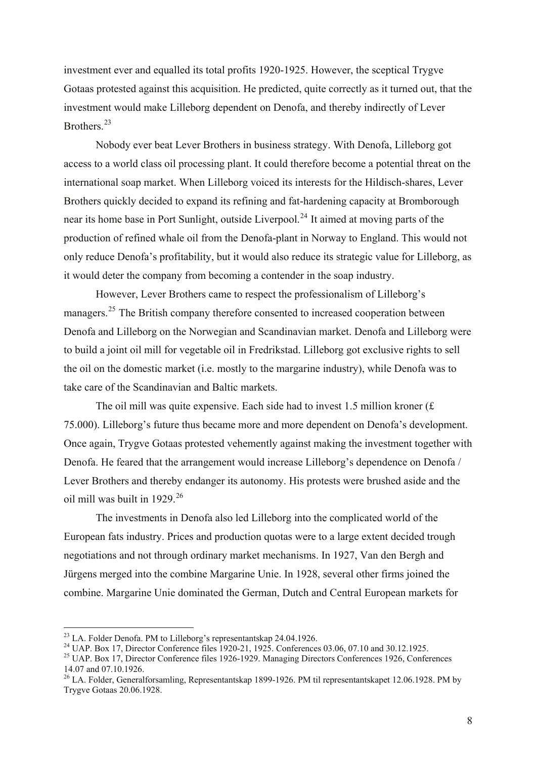investment ever and equalled its total profits 1920-1925. However, the sceptical Trygve Gotaas protested against this acquisition. He predicted, quite correctly as it turned out, that the investment would make Lilleborg dependent on Denofa, and thereby indirectly of Lever Brothers<sup>[23](#page-7-0)</sup>

 Nobody ever beat Lever Brothers in business strategy. With Denofa, Lilleborg got access to a world class oil processing plant. It could therefore become a potential threat on the international soap market. When Lilleborg voiced its interests for the Hildisch-shares, Lever Brothers quickly decided to expand its refining and fat-hardening capacity at Bromborough near its home base in Port Sunlight, outside Liverpool.<sup>[24](#page-7-1)</sup> It aimed at moving parts of the production of refined whale oil from the Denofa-plant in Norway to England. This would not only reduce Denofa's profitability, but it would also reduce its strategic value for Lilleborg, as it would deter the company from becoming a contender in the soap industry.

However, Lever Brothers came to respect the professionalism of Lilleborg's managers.<sup>[25](#page-7-2)</sup> The British company therefore consented to increased cooperation between Denofa and Lilleborg on the Norwegian and Scandinavian market. Denofa and Lilleborg were to build a joint oil mill for vegetable oil in Fredrikstad. Lilleborg got exclusive rights to sell the oil on the domestic market (i.e. mostly to the margarine industry), while Denofa was to take care of the Scandinavian and Baltic markets.

The oil mill was quite expensive. Each side had to invest 1.5 million kroner (£ 75.000). Lilleborg's future thus became more and more dependent on Denofa's development. Once again, Trygve Gotaas protested vehemently against making the investment together with Denofa. He feared that the arrangement would increase Lilleborg's dependence on Denofa / Lever Brothers and thereby endanger its autonomy. His protests were brushed aside and the oil mill was built in 1929.<sup>[26](#page-7-3)</sup>

The investments in Denofa also led Lilleborg into the complicated world of the European fats industry. Prices and production quotas were to a large extent decided trough negotiations and not through ordinary market mechanisms. In 1927, Van den Bergh and Jürgens merged into the combine Margarine Unie. In 1928, several other firms joined the combine. Margarine Unie dominated the German, Dutch and Central European markets for

<span id="page-7-0"></span><sup>23</sup> LA. Folder Denofa. PM to Lilleborg's representantskap 24.04.1926.

<span id="page-7-1"></span><sup>&</sup>lt;sup>24</sup> UAP. Box 17, Director Conference files 1920-21, 1925. Conferences 03.06, 07.10 and 30.12.1925.

<span id="page-7-2"></span><sup>&</sup>lt;sup>25</sup> UAP. Box 17, Director Conference files 1926-1929. Managing Directors Conferences 1926, Conferences 14.07 and 07.10.1926.

<span id="page-7-3"></span><sup>26</sup> LA. Folder, Generalforsamling, Representantskap 1899-1926. PM til representantskapet 12.06.1928. PM by Trygve Gotaas 20.06.1928.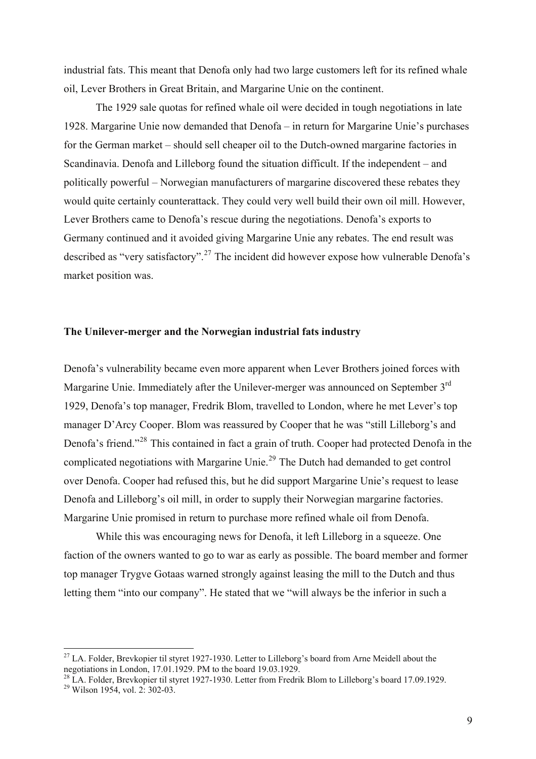industrial fats. This meant that Denofa only had two large customers left for its refined whale oil, Lever Brothers in Great Britain, and Margarine Unie on the continent.

The 1929 sale quotas for refined whale oil were decided in tough negotiations in late 1928. Margarine Unie now demanded that Denofa – in return for Margarine Unie's purchases for the German market – should sell cheaper oil to the Dutch-owned margarine factories in Scandinavia. Denofa and Lilleborg found the situation difficult. If the independent – and politically powerful – Norwegian manufacturers of margarine discovered these rebates they would quite certainly counterattack. They could very well build their own oil mill. However, Lever Brothers came to Denofa's rescue during the negotiations. Denofa's exports to Germany continued and it avoided giving Margarine Unie any rebates. The end result was described as "very satisfactory".<sup>[27](#page-8-0)</sup> The incident did however expose how vulnerable Denofa's market position was.

### **The Unilever-merger and the Norwegian industrial fats industry**

Denofa's vulnerability became even more apparent when Lever Brothers joined forces with Margarine Unie. Immediately after the Unilever-merger was announced on September 3<sup>rd</sup> 1929, Denofa's top manager, Fredrik Blom, travelled to London, where he met Lever's top manager D'Arcy Cooper. Blom was reassured by Cooper that he was "still Lilleborg's and Denofa's friend."[28](#page-8-1) This contained in fact a grain of truth. Cooper had protected Denofa in the complicated negotiations with Margarine Unie.<sup>[29](#page-8-2)</sup> The Dutch had demanded to get control over Denofa. Cooper had refused this, but he did support Margarine Unie's request to lease Denofa and Lilleborg's oil mill, in order to supply their Norwegian margarine factories. Margarine Unie promised in return to purchase more refined whale oil from Denofa.

 While this was encouraging news for Denofa, it left Lilleborg in a squeeze. One faction of the owners wanted to go to war as early as possible. The board member and former top manager Trygve Gotaas warned strongly against leasing the mill to the Dutch and thus letting them "into our company". He stated that we "will always be the inferior in such a

<span id="page-8-0"></span> $^{27}$  LA. Folder, Brevkopier til styret 1927-1930. Letter to Lilleborg's board from Arne Meidell about the negotiations in London, 17.01.1929. PM to the board 19.03.1929.

<span id="page-8-2"></span><span id="page-8-1"></span><sup>&</sup>lt;sup>28</sup> LA. Folder, Brevkopier til styret 1927-1930. Letter from Fredrik Blom to Lilleborg's board 17.09.1929.<br><sup>29</sup> Wilson 1954, vol. 2: 302-03.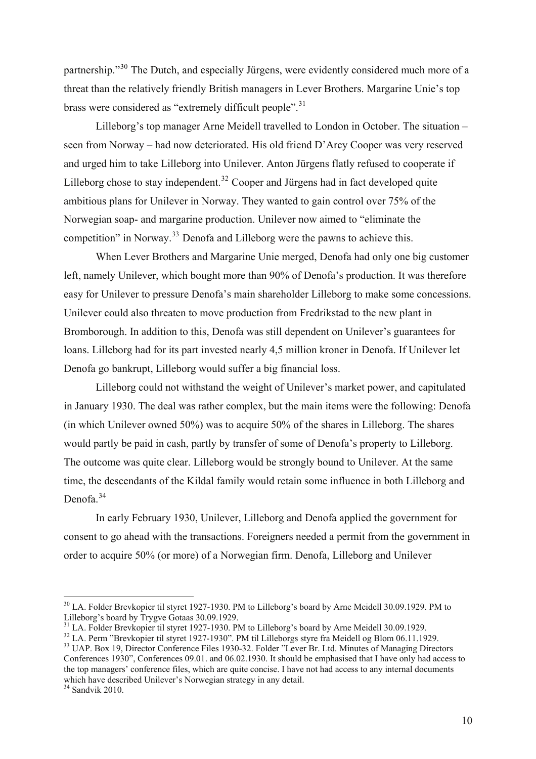partnership."[30](#page-9-0) The Dutch, and especially Jürgens, were evidently considered much more of a threat than the relatively friendly British managers in Lever Brothers. Margarine Unie's top brass were considered as "extremely difficult people".<sup>[31](#page-9-1)</sup>

 Lilleborg's top manager Arne Meidell travelled to London in October. The situation – seen from Norway – had now deteriorated. His old friend D'Arcy Cooper was very reserved and urged him to take Lilleborg into Unilever. Anton Jürgens flatly refused to cooperate if Lilleborg chose to stay independent.<sup>[32](#page-9-2)</sup> Cooper and Jürgens had in fact developed quite ambitious plans for Unilever in Norway. They wanted to gain control over 75% of the Norwegian soap- and margarine production. Unilever now aimed to "eliminate the competition" in Norway.[33](#page-9-3) Denofa and Lilleborg were the pawns to achieve this.

 When Lever Brothers and Margarine Unie merged, Denofa had only one big customer left, namely Unilever, which bought more than 90% of Denofa's production. It was therefore easy for Unilever to pressure Denofa's main shareholder Lilleborg to make some concessions. Unilever could also threaten to move production from Fredrikstad to the new plant in Bromborough. In addition to this, Denofa was still dependent on Unilever's guarantees for loans. Lilleborg had for its part invested nearly 4,5 million kroner in Denofa. If Unilever let Denofa go bankrupt, Lilleborg would suffer a big financial loss.

 Lilleborg could not withstand the weight of Unilever's market power, and capitulated in January 1930. The deal was rather complex, but the main items were the following: Denofa (in which Unilever owned 50%) was to acquire 50% of the shares in Lilleborg. The shares would partly be paid in cash, partly by transfer of some of Denofa's property to Lilleborg. The outcome was quite clear. Lilleborg would be strongly bound to Unilever. At the same time, the descendants of the Kildal family would retain some influence in both Lilleborg and Denofa<sup>[34](#page-9-4)</sup>

 In early February 1930, Unilever, Lilleborg and Denofa applied the government for consent to go ahead with the transactions. Foreigners needed a permit from the government in order to acquire 50% (or more) of a Norwegian firm. Denofa, Lilleborg and Unilever

<span id="page-9-2"></span><span id="page-9-1"></span><sup>32</sup> LA. Perm "Brevkopier til styret 1927-1930". PM til Lilleborgs styre fra Meidell og Blom 06.11.1929.<br><sup>32</sup> LA. Perm "Brevkopier til styret 1927-1930". PM til Lilleborgs styre fra Meidell og Blom 06.11.1929. Conferences 1930", Conferences 09.01. and 06.02.1930. It should be emphasised that I have only had access to the top managers' conference files, which are quite concise. I have not had access to any internal documents which have described Unilever's Norwegian strategy in any detail.

<span id="page-9-4"></span> $34$  Sandvik 2010.

<span id="page-9-0"></span><sup>30</sup> LA. Folder Brevkopier til styret 1927-1930. PM to Lilleborg's board by Arne Meidell 30.09.1929. PM to Lilleborg's board by Trygve Gotaas 30.09.1929.<br><sup>31</sup> LA. Folder Brevkopier til styret 1927-1930. PM to Lilleborg's board by Arne Meidell 30.09.1929.

<span id="page-9-3"></span>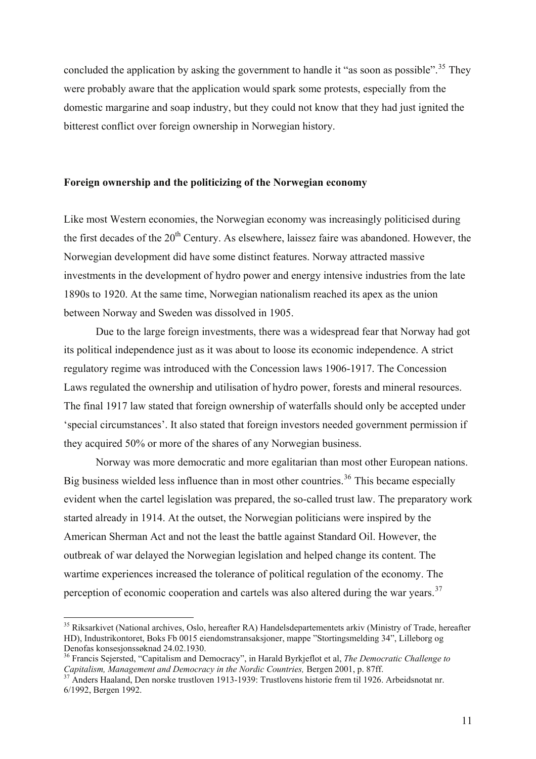concluded the application by asking the government to handle it "as soon as possible".<sup>[35](#page-10-0)</sup> They were probably aware that the application would spark some protests, especially from the domestic margarine and soap industry, but they could not know that they had just ignited the bitterest conflict over foreign ownership in Norwegian history.

#### **Foreign ownership and the politicizing of the Norwegian economy**

Like most Western economies, the Norwegian economy was increasingly politicised during the first decades of the  $20<sup>th</sup>$  Century. As elsewhere, laissez faire was abandoned. However, the Norwegian development did have some distinct features. Norway attracted massive investments in the development of hydro power and energy intensive industries from the late 1890s to 1920. At the same time, Norwegian nationalism reached its apex as the union between Norway and Sweden was dissolved in 1905.

Due to the large foreign investments, there was a widespread fear that Norway had got its political independence just as it was about to loose its economic independence. A strict regulatory regime was introduced with the Concession laws 1906-1917. The Concession Laws regulated the ownership and utilisation of hydro power, forests and mineral resources. The final 1917 law stated that foreign ownership of waterfalls should only be accepted under 'special circumstances'. It also stated that foreign investors needed government permission if they acquired 50% or more of the shares of any Norwegian business.

 Norway was more democratic and more egalitarian than most other European nations. Big business wielded less influence than in most other countries.<sup>[36](#page-10-1)</sup> This became especially evident when the cartel legislation was prepared, the so-called trust law. The preparatory work started already in 1914. At the outset, the Norwegian politicians were inspired by the American Sherman Act and not the least the battle against Standard Oil. However, the outbreak of war delayed the Norwegian legislation and helped change its content. The wartime experiences increased the tolerance of political regulation of the economy. The perception of economic cooperation and cartels was also altered during the war years.<sup>[37](#page-10-2)</sup>

<span id="page-10-0"></span><sup>&</sup>lt;sup>35</sup> Riksarkivet (National archives, Oslo, hereafter RA) Handelsdepartementets arkiv (Ministry of Trade, hereafter HD), Industrikontoret, Boks Fb 0015 eiendomstransaksjoner, mappe "Stortingsmelding 34", Lilleborg og Denofas konsesjonssøknad 24.02.1930.

<span id="page-10-1"></span><sup>36</sup> Francis Sejersted, "Capitalism and Democracy", in Harald Byrkjeflot et al, *The Democratic Challenge to Capitalism, Management and Democracy in the Nordic Countries, Bergen 2001, p. 87ff.*<br><sup>37</sup> Anders Haaland, Den norske trustloven 1913-1939: Trustlovens historie frem til 1926. Arbeidsnotat nr.

<span id="page-10-2"></span><sup>6/1992,</sup> Bergen 1992.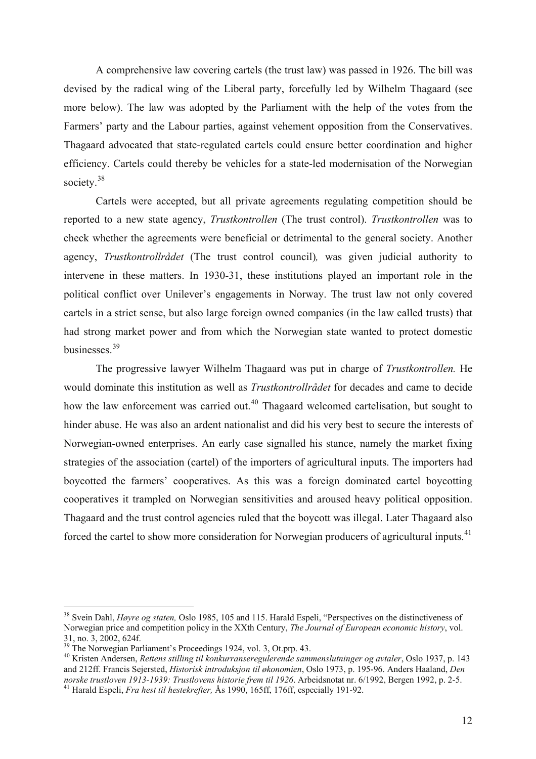A comprehensive law covering cartels (the trust law) was passed in 1926. The bill was devised by the radical wing of the Liberal party, forcefully led by Wilhelm Thagaard (see more below). The law was adopted by the Parliament with the help of the votes from the Farmers' party and the Labour parties, against vehement opposition from the Conservatives. Thagaard advocated that state-regulated cartels could ensure better coordination and higher efficiency. Cartels could thereby be vehicles for a state-led modernisation of the Norwegian society.<sup>[38](#page-11-0)</sup>

Cartels were accepted, but all private agreements regulating competition should be reported to a new state agency, *Trustkontrollen* (The trust control). *Trustkontrollen* was to check whether the agreements were beneficial or detrimental to the general society. Another agency, *Trustkontrollrådet* (The trust control council)*,* was given judicial authority to intervene in these matters. In 1930-31, these institutions played an important role in the political conflict over Unilever's engagements in Norway. The trust law not only covered cartels in a strict sense, but also large foreign owned companies (in the law called trusts) that had strong market power and from which the Norwegian state wanted to protect domestic businesses<sup>[39](#page-11-1)</sup>

The progressive lawyer Wilhelm Thagaard was put in charge of *Trustkontrollen.* He would dominate this institution as well as *Trustkontrollrådet* for decades and came to decide how the law enforcement was carried out.<sup>[40](#page-11-2)</sup> Thagaard welcomed cartelisation, but sought to hinder abuse. He was also an ardent nationalist and did his very best to secure the interests of Norwegian-owned enterprises. An early case signalled his stance, namely the market fixing strategies of the association (cartel) of the importers of agricultural inputs. The importers had boycotted the farmers' cooperatives. As this was a foreign dominated cartel boycotting cooperatives it trampled on Norwegian sensitivities and aroused heavy political opposition. Thagaard and the trust control agencies ruled that the boycott was illegal. Later Thagaard also forced the cartel to show more consideration for Norwegian producers of agricultural inputs.<sup>[41](#page-11-3)</sup>

<span id="page-11-0"></span><sup>38</sup> Svein Dahl, *Høyre og staten,* Oslo 1985, 105 and 115. Harald Espeli, "Perspectives on the distinctiveness of Norwegian price and competition policy in the XXth Century, *The Journal of European economic history*, vol. 31, no. 3, 2002, 624f.

<span id="page-11-3"></span><span id="page-11-2"></span><span id="page-11-1"></span><sup>&</sup>lt;sup>40</sup> Kristen Andersen, *Rettens stilling til konkurranseregulerende sammenslutninger og avtaler*, Oslo 1937, p. 143 and 212ff. Francis Sejersted, *Historisk introduksjon til økonomien*, Oslo 1973, p. 195-96. Anders Haaland, *Den norske trustloven 1913-1939: Trustlovens historie frem til 1926*. Arbeidsnotat nr. 6/1992, Bergen 1992, p. 2-5. 41 Harald Espeli, *Fra hest til hestekrefter,* Ås 1990, 165ff, 176ff, especially 191-92.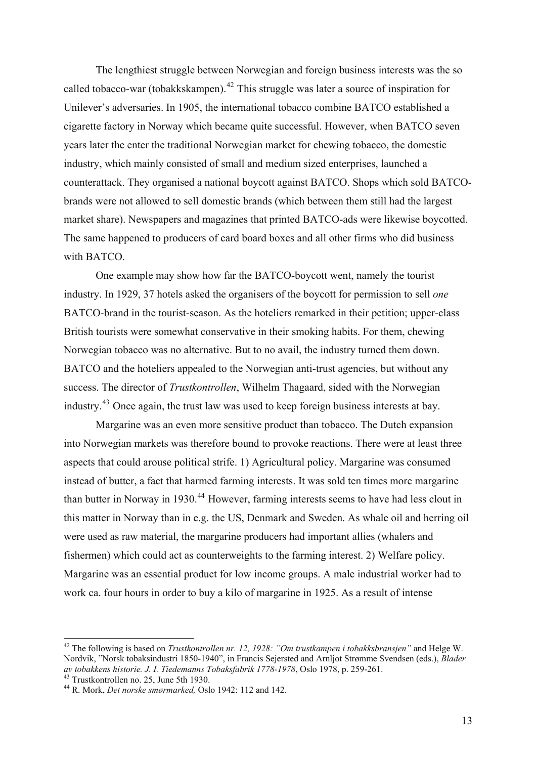The lengthiest struggle between Norwegian and foreign business interests was the so called tobacco-war (tobakkskampen).<sup>[42](#page-12-0)</sup> This struggle was later a source of inspiration for Unilever's adversaries. In 1905, the international tobacco combine BATCO established a cigarette factory in Norway which became quite successful. However, when BATCO seven years later the enter the traditional Norwegian market for chewing tobacco, the domestic industry, which mainly consisted of small and medium sized enterprises, launched a counterattack. They organised a national boycott against BATCO. Shops which sold BATCObrands were not allowed to sell domestic brands (which between them still had the largest market share). Newspapers and magazines that printed BATCO-ads were likewise boycotted. The same happened to producers of card board boxes and all other firms who did business with BATCO.

One example may show how far the BATCO-boycott went, namely the tourist industry. In 1929, 37 hotels asked the organisers of the boycott for permission to sell *one* BATCO-brand in the tourist-season. As the hoteliers remarked in their petition; upper-class British tourists were somewhat conservative in their smoking habits. For them, chewing Norwegian tobacco was no alternative. But to no avail, the industry turned them down. BATCO and the hoteliers appealed to the Norwegian anti-trust agencies, but without any success. The director of *Trustkontrollen*, Wilhelm Thagaard, sided with the Norwegian industry.[43](#page-12-1) Once again, the trust law was used to keep foreign business interests at bay.

 Margarine was an even more sensitive product than tobacco. The Dutch expansion into Norwegian markets was therefore bound to provoke reactions. There were at least three aspects that could arouse political strife. 1) Agricultural policy. Margarine was consumed instead of butter, a fact that harmed farming interests. It was sold ten times more margarine than butter in Norway in 1930.<sup>[44](#page-12-2)</sup> However, farming interests seems to have had less clout in this matter in Norway than in e.g. the US, Denmark and Sweden. As whale oil and herring oil were used as raw material, the margarine producers had important allies (whalers and fishermen) which could act as counterweights to the farming interest. 2) Welfare policy. Margarine was an essential product for low income groups. A male industrial worker had to work ca. four hours in order to buy a kilo of margarine in 1925. As a result of intense

<span id="page-12-0"></span><sup>42</sup> The following is based on *Trustkontrollen nr. 12, 1928: "Om trustkampen i tobakksbransjen"* and Helge W. Nordvik, "Norsk tobaksindustri 1850-1940", in Francis Sejersted and Arnljot Strømme Svendsen (eds.), *Blader av tobakkens historie. J. I. Tiedemanns Tobaksfabrik 1778-1978*, Oslo 1978, p. 259-261. 43 Trustkontrollen no. 25, June 5th 1930.

<span id="page-12-2"></span><span id="page-12-1"></span><sup>44</sup> R. Mork, *Det norske smørmarked,* Oslo 1942: 112 and 142.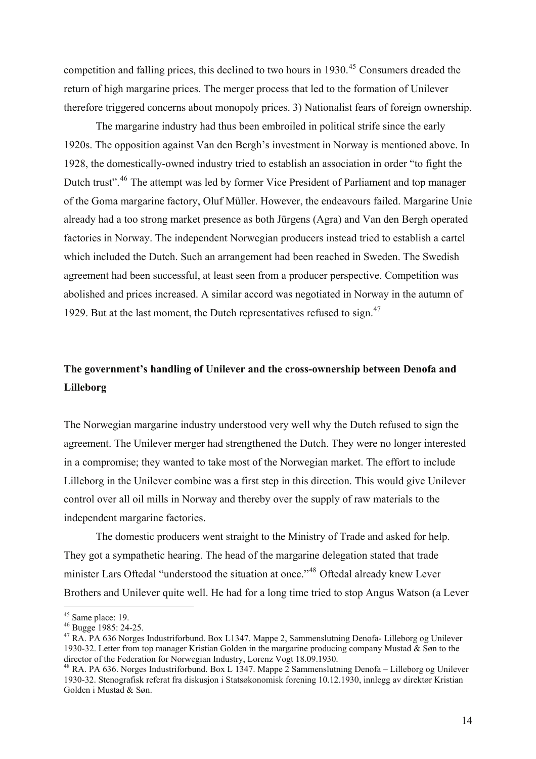competition and falling prices, this declined to two hours in 1930.<sup>[45](#page-13-0)</sup> Consumers dreaded the return of high margarine prices. The merger process that led to the formation of Unilever therefore triggered concerns about monopoly prices. 3) Nationalist fears of foreign ownership.

 The margarine industry had thus been embroiled in political strife since the early 1920s. The opposition against Van den Bergh's investment in Norway is mentioned above. In 1928, the domestically-owned industry tried to establish an association in order "to fight the Dutch trust".<sup>[46](#page-13-1)</sup> The attempt was led by former Vice President of Parliament and top manager of the Goma margarine factory, Oluf Müller. However, the endeavours failed. Margarine Unie already had a too strong market presence as both Jürgens (Agra) and Van den Bergh operated factories in Norway. The independent Norwegian producers instead tried to establish a cartel which included the Dutch. Such an arrangement had been reached in Sweden. The Swedish agreement had been successful, at least seen from a producer perspective. Competition was abolished and prices increased. A similar accord was negotiated in Norway in the autumn of 1929. But at the last moment, the Dutch representatives refused to sign. $47$ 

# **The government's handling of Unilever and the cross-ownership between Denofa and Lilleborg**

The Norwegian margarine industry understood very well why the Dutch refused to sign the agreement. The Unilever merger had strengthened the Dutch. They were no longer interested in a compromise; they wanted to take most of the Norwegian market. The effort to include Lilleborg in the Unilever combine was a first step in this direction. This would give Unilever control over all oil mills in Norway and thereby over the supply of raw materials to the independent margarine factories.

 The domestic producers went straight to the Ministry of Trade and asked for help. They got a sympathetic hearing. The head of the margarine delegation stated that trade minister Lars Oftedal "understood the situation at once."[48](#page-13-3) Oftedal already knew Lever Brothers and Unilever quite well. He had for a long time tried to stop Angus Watson (a Lever

 $45$  Same place: 19.

<span id="page-13-1"></span><span id="page-13-0"></span><sup>&</sup>lt;sup>46</sup> Bugge 1985: 24-25.

<span id="page-13-2"></span><sup>47</sup> RA. PA 636 Norges Industriforbund. Box L1347. Mappe 2, Sammenslutning Denofa- Lilleborg og Unilever 1930-32. Letter from top manager Kristian Golden in the margarine producing company Mustad & Søn to the director of the Federation for Norwegian Industry, Lorenz Vogt 18.09.1930.

<span id="page-13-3"></span><sup>48</sup> RA. PA 636. Norges Industriforbund. Box L 1347. Mappe 2 Sammenslutning Denofa – Lilleborg og Unilever 1930-32. Stenografisk referat fra diskusjon i Statsøkonomisk forening 10.12.1930, innlegg av direktør Kristian Golden i Mustad & Søn.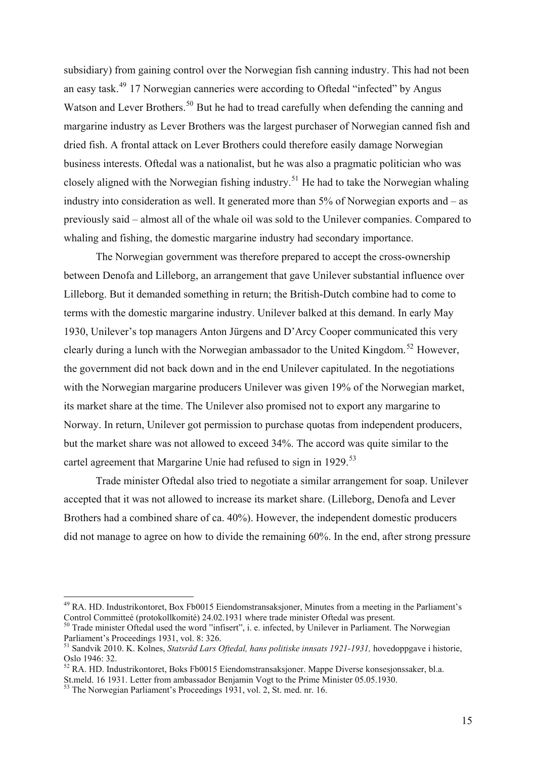subsidiary) from gaining control over the Norwegian fish canning industry. This had not been an easy task.[49](#page-14-0) 17 Norwegian canneries were according to Oftedal "infected" by Angus Watson and Lever Brothers.<sup>[50](#page-14-1)</sup> But he had to tread carefully when defending the canning and margarine industry as Lever Brothers was the largest purchaser of Norwegian canned fish and dried fish. A frontal attack on Lever Brothers could therefore easily damage Norwegian business interests. Oftedal was a nationalist, but he was also a pragmatic politician who was closely aligned with the Norwegian fishing industry.<sup>[51](#page-14-2)</sup> He had to take the Norwegian whaling industry into consideration as well. It generated more than 5% of Norwegian exports and – as previously said – almost all of the whale oil was sold to the Unilever companies. Compared to whaling and fishing, the domestic margarine industry had secondary importance.

 The Norwegian government was therefore prepared to accept the cross-ownership between Denofa and Lilleborg, an arrangement that gave Unilever substantial influence over Lilleborg. But it demanded something in return; the British-Dutch combine had to come to terms with the domestic margarine industry. Unilever balked at this demand. In early May 1930, Unilever's top managers Anton Jürgens and D'Arcy Cooper communicated this very clearly during a lunch with the Norwegian ambassador to the United Kingdom.<sup>[52](#page-14-3)</sup> However, the government did not back down and in the end Unilever capitulated. In the negotiations with the Norwegian margarine producers Unilever was given 19% of the Norwegian market, its market share at the time. The Unilever also promised not to export any margarine to Norway. In return, Unilever got permission to purchase quotas from independent producers, but the market share was not allowed to exceed 34%. The accord was quite similar to the cartel agreement that Margarine Unie had refused to sign in 1929.<sup>[53](#page-14-4)</sup>

 Trade minister Oftedal also tried to negotiate a similar arrangement for soap. Unilever accepted that it was not allowed to increase its market share. (Lilleborg, Denofa and Lever Brothers had a combined share of ca. 40%). However, the independent domestic producers did not manage to agree on how to divide the remaining 60%. In the end, after strong pressure

<span id="page-14-0"></span><sup>49</sup> RA. HD. Industrikontoret, Box Fb0015 Eiendomstransaksjoner, Minutes from a meeting in the Parliament's Control Committeé (protokollkomité) 24.02.1931 where trade minister Oftedal was present.

<span id="page-14-1"></span><sup>&</sup>lt;sup>50</sup> Trade minister Oftedal used the word "infisert", i. e. infected, by Unilever in Parliament. The Norwegian Parliament's Proceedings 1931, vol. 8: 326.

<span id="page-14-2"></span><sup>51</sup> Sandvik 2010. K. Kolnes, *Statsråd Lars Oftedal, hans politiske innsats 1921-1931,* hovedoppgave i historie, Oslo 1946: 32.

<span id="page-14-3"></span><sup>52</sup> RA. HD. Industrikontoret, Boks Fb0015 Eiendomstransaksjoner. Mappe Diverse konsesjonssaker, bl.a.

St.meld. 16 1931. Letter from ambassador Benjamin Vogt to the Prime Minister 05.05.1930.

<span id="page-14-4"></span> $^{53}$  The Norwegian Parliament's Proceedings 1931, vol. 2, St. med. nr. 16.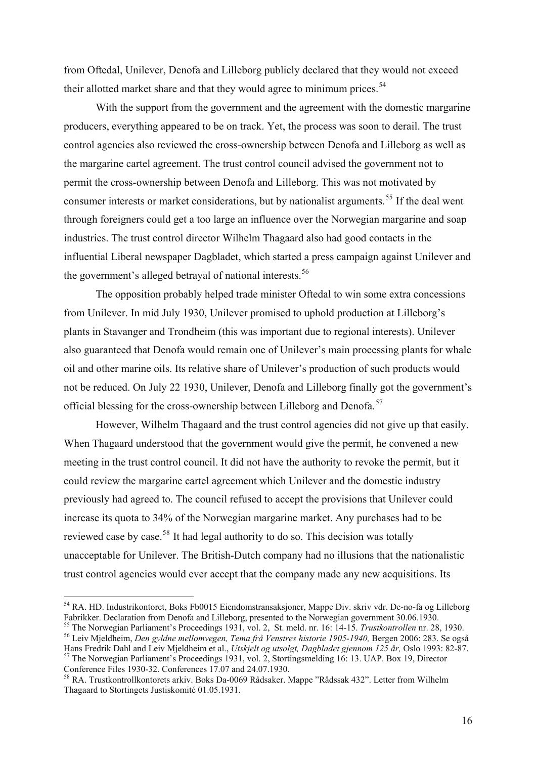from Oftedal, Unilever, Denofa and Lilleborg publicly declared that they would not exceed their allotted market share and that they would agree to minimum prices.<sup>[54](#page-15-0)</sup>

With the support from the government and the agreement with the domestic margarine producers, everything appeared to be on track. Yet, the process was soon to derail. The trust control agencies also reviewed the cross-ownership between Denofa and Lilleborg as well as the margarine cartel agreement. The trust control council advised the government not to permit the cross-ownership between Denofa and Lilleborg. This was not motivated by consumer interests or market considerations, but by nationalist arguments.<sup>[55](#page-15-1)</sup> If the deal went through foreigners could get a too large an influence over the Norwegian margarine and soap industries. The trust control director Wilhelm Thagaard also had good contacts in the influential Liberal newspaper Dagbladet, which started a press campaign against Unilever and the government's alleged betrayal of national interests.<sup>[56](#page-15-2)</sup>

 The opposition probably helped trade minister Oftedal to win some extra concessions from Unilever. In mid July 1930, Unilever promised to uphold production at Lilleborg's plants in Stavanger and Trondheim (this was important due to regional interests). Unilever also guaranteed that Denofa would remain one of Unilever's main processing plants for whale oil and other marine oils. Its relative share of Unilever's production of such products would not be reduced. On July 22 1930, Unilever, Denofa and Lilleborg finally got the government's official blessing for the cross-ownership between Lilleborg and Denofa.<sup>[57](#page-15-3)</sup>

 However, Wilhelm Thagaard and the trust control agencies did not give up that easily. When Thagaard understood that the government would give the permit, he convened a new meeting in the trust control council. It did not have the authority to revoke the permit, but it could review the margarine cartel agreement which Unilever and the domestic industry previously had agreed to. The council refused to accept the provisions that Unilever could increase its quota to 34% of the Norwegian margarine market. Any purchases had to be reviewed case by case.<sup>[58](#page-15-4)</sup> It had legal authority to do so. This decision was totally unacceptable for Unilever. The British-Dutch company had no illusions that the nationalistic trust control agencies would ever accept that the company made any new acquisitions. Its

<span id="page-15-0"></span> $54$  RA. HD. Industrikontoret, Boks Fb0015 Eiendomstransaksjoner, Mappe Div. skriv vdr. De-no-fa og Lilleborg<br>Fabrikker. Declaration from Denofa and Lilleborg, presented to the Norwegian government 30.06.1930.

<span id="page-15-2"></span><span id="page-15-1"></span><sup>&</sup>lt;sup>55</sup> The Norwegian Parliament's Proceedings 1931, vol. 2, St. meld. nr. 16: 14-15. *Trustkontrollen* nr. 28, 1930.<br><sup>56</sup> Leiv Mjeldheim, *Den gyldne mellomvegen, Tema frå Venstres historie 1905-1940*, Bergen 2006: 283. Se

<span id="page-15-3"></span><sup>&</sup>lt;sup>57</sup> The Norwegian Parliament's Proceedings 1931, vol. 2, Stortingsmelding 16: 13. UAP. Box 19, Director Conference Files 1930-32. Conferences 17.07 and 24.07.1930.

<span id="page-15-4"></span><sup>58</sup> RA. Trustkontrollkontorets arkiv. Boks Da-0069 Rådsaker. Mappe "Rådssak 432". Letter from Wilhelm Thagaard to Stortingets Justiskomité 01.05.1931.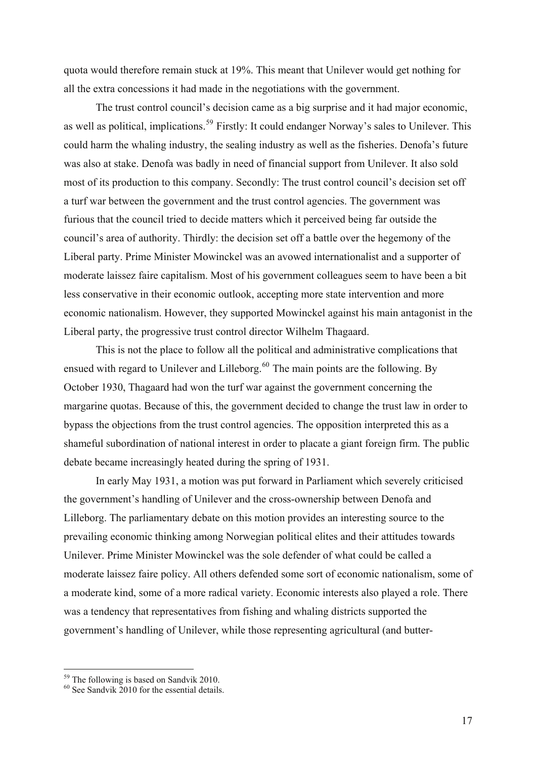quota would therefore remain stuck at 19%. This meant that Unilever would get nothing for all the extra concessions it had made in the negotiations with the government.

 The trust control council's decision came as a big surprise and it had major economic, as well as political, implications.<sup>[59](#page-16-0)</sup> Firstly: It could endanger Norway's sales to Unilever. This could harm the whaling industry, the sealing industry as well as the fisheries. Denofa's future was also at stake. Denofa was badly in need of financial support from Unilever. It also sold most of its production to this company. Secondly: The trust control council's decision set off a turf war between the government and the trust control agencies. The government was furious that the council tried to decide matters which it perceived being far outside the council's area of authority. Thirdly: the decision set off a battle over the hegemony of the Liberal party. Prime Minister Mowinckel was an avowed internationalist and a supporter of moderate laissez faire capitalism. Most of his government colleagues seem to have been a bit less conservative in their economic outlook, accepting more state intervention and more economic nationalism. However, they supported Mowinckel against his main antagonist in the Liberal party, the progressive trust control director Wilhelm Thagaard.

This is not the place to follow all the political and administrative complications that ensued with regard to Unilever and Lilleborg.<sup>[60](#page-16-1)</sup> The main points are the following. By October 1930, Thagaard had won the turf war against the government concerning the margarine quotas. Because of this, the government decided to change the trust law in order to bypass the objections from the trust control agencies. The opposition interpreted this as a shameful subordination of national interest in order to placate a giant foreign firm. The public debate became increasingly heated during the spring of 1931.

In early May 1931, a motion was put forward in Parliament which severely criticised the government's handling of Unilever and the cross-ownership between Denofa and Lilleborg. The parliamentary debate on this motion provides an interesting source to the prevailing economic thinking among Norwegian political elites and their attitudes towards Unilever. Prime Minister Mowinckel was the sole defender of what could be called a moderate laissez faire policy. All others defended some sort of economic nationalism, some of a moderate kind, some of a more radical variety. Economic interests also played a role. There was a tendency that representatives from fishing and whaling districts supported the government's handling of Unilever, while those representing agricultural (and butter-

<span id="page-16-0"></span><sup>&</sup>lt;sup>59</sup> The following is based on Sandvik 2010.

<span id="page-16-1"></span><sup>60</sup> See Sandvik 2010 for the essential details.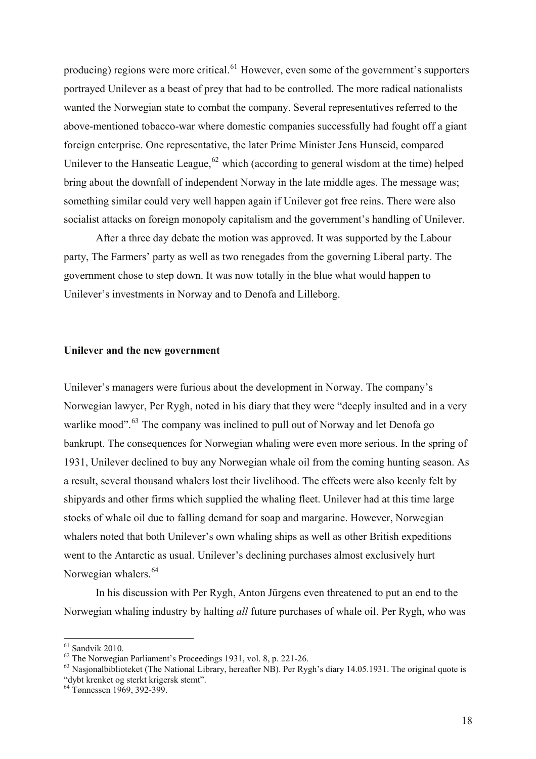producing) regions were more critical.<sup>[61](#page-17-0)</sup> However, even some of the government's supporters portrayed Unilever as a beast of prey that had to be controlled. The more radical nationalists wanted the Norwegian state to combat the company. Several representatives referred to the above-mentioned tobacco-war where domestic companies successfully had fought off a giant foreign enterprise. One representative, the later Prime Minister Jens Hunseid, compared Unilever to the Hanseatic League,  $62$  which (according to general wisdom at the time) helped bring about the downfall of independent Norway in the late middle ages. The message was; something similar could very well happen again if Unilever got free reins. There were also socialist attacks on foreign monopoly capitalism and the government's handling of Unilever.

After a three day debate the motion was approved. It was supported by the Labour party, The Farmers' party as well as two renegades from the governing Liberal party. The government chose to step down. It was now totally in the blue what would happen to Unilever's investments in Norway and to Denofa and Lilleborg.

### **Unilever and the new government**

Unilever's managers were furious about the development in Norway. The company's Norwegian lawyer, Per Rygh, noted in his diary that they were "deeply insulted and in a very warlike mood".<sup>[63](#page-17-2)</sup> The company was inclined to pull out of Norway and let Denofa go bankrupt. The consequences for Norwegian whaling were even more serious. In the spring of 1931, Unilever declined to buy any Norwegian whale oil from the coming hunting season. As a result, several thousand whalers lost their livelihood. The effects were also keenly felt by shipyards and other firms which supplied the whaling fleet. Unilever had at this time large stocks of whale oil due to falling demand for soap and margarine. However, Norwegian whalers noted that both Unilever's own whaling ships as well as other British expeditions went to the Antarctic as usual. Unilever's declining purchases almost exclusively hurt Norwegian whalers.<sup>[64](#page-17-3)</sup>

In his discussion with Per Rygh, Anton Jürgens even threatened to put an end to the Norwegian whaling industry by halting *all* future purchases of whale oil. Per Rygh, who was

 $61$  Sandvik 2010.

<span id="page-17-2"></span>

<span id="page-17-1"></span><span id="page-17-0"></span><sup>&</sup>lt;sup>62</sup> The Norwegian Parliament's Proceedings 1931, vol. 8, p. 221-26.<br><sup>63</sup> Nasjonalbiblioteket (The National Library, hereafter NB). Per Rygh's diary 14.05.1931. The original quote is "dybt krenket og sterkt krigersk stemt".

<span id="page-17-3"></span><sup>64</sup> Tønnessen 1969, 392-399.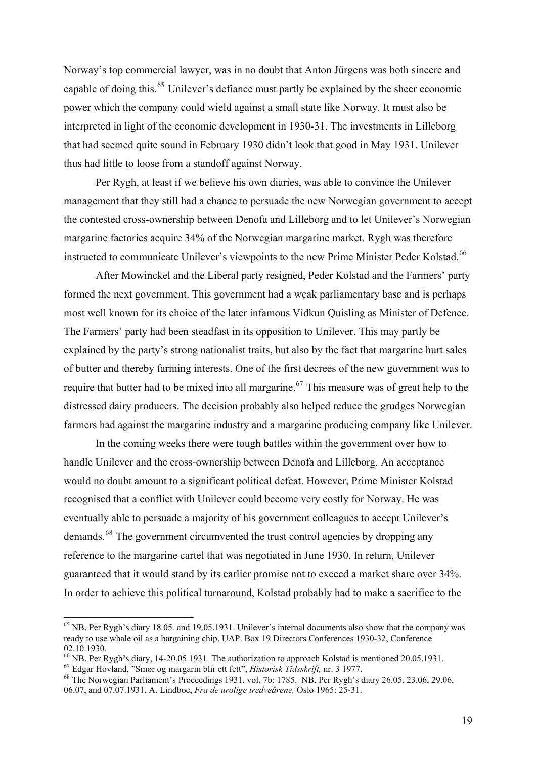Norway's top commercial lawyer, was in no doubt that Anton Jürgens was both sincere and capable of doing this.<sup>[65](#page-18-0)</sup> Unilever's defiance must partly be explained by the sheer economic power which the company could wield against a small state like Norway. It must also be interpreted in light of the economic development in 1930-31. The investments in Lilleborg that had seemed quite sound in February 1930 didn't look that good in May 1931. Unilever thus had little to loose from a standoff against Norway.

Per Rygh, at least if we believe his own diaries, was able to convince the Unilever management that they still had a chance to persuade the new Norwegian government to accept the contested cross-ownership between Denofa and Lilleborg and to let Unilever's Norwegian margarine factories acquire 34% of the Norwegian margarine market. Rygh was therefore instructed to communicate Unilever's viewpoints to the new Prime Minister Peder Kolstad.<sup>[66](#page-18-1)</sup>

After Mowinckel and the Liberal party resigned, Peder Kolstad and the Farmers' party formed the next government. This government had a weak parliamentary base and is perhaps most well known for its choice of the later infamous Vidkun Quisling as Minister of Defence. The Farmers' party had been steadfast in its opposition to Unilever. This may partly be explained by the party's strong nationalist traits, but also by the fact that margarine hurt sales of butter and thereby farming interests. One of the first decrees of the new government was to require that butter had to be mixed into all margarine.<sup>[67](#page-18-2)</sup> This measure was of great help to the distressed dairy producers. The decision probably also helped reduce the grudges Norwegian farmers had against the margarine industry and a margarine producing company like Unilever.

 In the coming weeks there were tough battles within the government over how to handle Unilever and the cross-ownership between Denofa and Lilleborg. An acceptance would no doubt amount to a significant political defeat. However, Prime Minister Kolstad recognised that a conflict with Unilever could become very costly for Norway. He was eventually able to persuade a majority of his government colleagues to accept Unilever's demands.<sup>[68](#page-18-3)</sup> The government circumvented the trust control agencies by dropping any reference to the margarine cartel that was negotiated in June 1930. In return, Unilever guaranteed that it would stand by its earlier promise not to exceed a market share over 34%. In order to achieve this political turnaround, Kolstad probably had to make a sacrifice to the

<span id="page-18-0"></span><sup>65</sup> NB. Per Rygh's diary 18.05. and 19.05.1931. Unilever's internal documents also show that the company was ready to use whale oil as a bargaining chip. UAP. Box 19 Directors Conferences 1930-32, Conference 02.10.1930.

<span id="page-18-1"></span><sup>&</sup>lt;sup>66</sup> NB. Per Rygh's diary, 14-20.05.1931. The authorization to approach Kolstad is mentioned 20.05.1931.<br><sup>67</sup> Edgar Hovland, "Smør og margarin blir ett fett", *Historisk Tidsskrift*, nr. 3 1977.

<span id="page-18-3"></span><span id="page-18-2"></span><sup>&</sup>lt;sup>68</sup> The Norwegian Parliament's Proceedings 1931, vol. 7b: 1785. NB. Per Rygh's diary 26.05, 23.06, 29.06, 06.07, and 07.07.1931. A. Lindboe, *Fra de urolige tredveårene,* Oslo 1965: 25-31.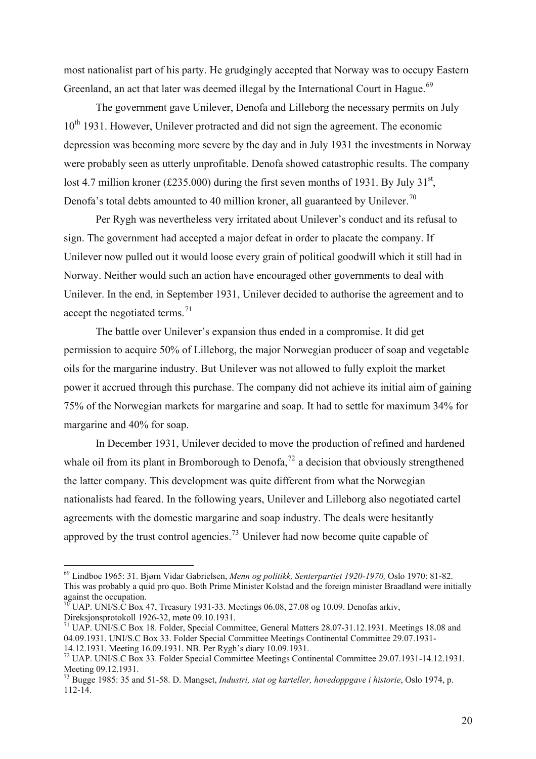most nationalist part of his party. He grudgingly accepted that Norway was to occupy Eastern Greenland, an act that later was deemed illegal by the International Court in Hague.<sup>[69](#page-19-0)</sup>

 The government gave Unilever, Denofa and Lilleborg the necessary permits on July  $10<sup>th</sup>$  1931. However, Unilever protracted and did not sign the agreement. The economic depression was becoming more severe by the day and in July 1931 the investments in Norway were probably seen as utterly unprofitable. Denofa showed catastrophic results. The company lost 4.7 million kroner (£235.000) during the first seven months of 1931. By July 31<sup>st</sup>, Denofa's total debts amounted to 40 million kroner, all guaranteed by Unilever.<sup>[70](#page-19-1)</sup>

Per Rygh was nevertheless very irritated about Unilever's conduct and its refusal to sign. The government had accepted a major defeat in order to placate the company. If Unilever now pulled out it would loose every grain of political goodwill which it still had in Norway. Neither would such an action have encouraged other governments to deal with Unilever. In the end, in September 1931, Unilever decided to authorise the agreement and to accept the negotiated terms. $71$ 

The battle over Unilever's expansion thus ended in a compromise. It did get permission to acquire 50% of Lilleborg, the major Norwegian producer of soap and vegetable oils for the margarine industry. But Unilever was not allowed to fully exploit the market power it accrued through this purchase. The company did not achieve its initial aim of gaining 75% of the Norwegian markets for margarine and soap. It had to settle for maximum 34% for margarine and 40% for soap.

In December 1931, Unilever decided to move the production of refined and hardened whale oil from its plant in Bromborough to Denofa,  $^{72}$  $^{72}$  $^{72}$  a decision that obviously strengthened the latter company. This development was quite different from what the Norwegian nationalists had feared. In the following years, Unilever and Lilleborg also negotiated cartel agreements with the domestic margarine and soap industry. The deals were hesitantly approved by the trust control agencies.<sup>[73](#page-19-4)</sup> Unilever had now become quite capable of

<span id="page-19-0"></span><sup>69</sup> Lindboe 1965: 31. Bjørn Vidar Gabrielsen, *Menn og politikk, Senterpartiet 1920-1970,* Oslo 1970: 81-82. This was probably a quid pro quo. Both Prime Minister Kolstad and the foreign minister Braadland were initially against the occupation.

<span id="page-19-1"></span> $^{70}$  UAP. UNI/S.C Box 47, Treasury 1931-33. Meetings 06.08, 27.08 og 10.09. Denofas arkiv, Direksjonsprotokoll 1926-32, møte 09.10.1931.

<span id="page-19-2"></span><sup>71</sup> UAP. UNI/S.C Box 18. Folder, Special Committee, General Matters 28.07-31.12.1931. Meetings 18.08 and 04.09.1931. UNI/S.C Box 33. Folder Special Committee Meetings Continental Committee 29.07.1931- 14.12.1931. Meeting 16.09.1931. NB. Per Rygh's diary 10.09.1931.

<span id="page-19-3"></span><sup>72</sup> UAP. UNI/S.C Box 33. Folder Special Committee Meetings Continental Committee 29.07.1931-14.12.1931. Meeting 09.12.1931.

<span id="page-19-4"></span><sup>73</sup> Bugge 1985: 35 and 51-58. D. Mangset, *Industri, stat og karteller, hovedoppgave i historie*, Oslo 1974, p. 112-14.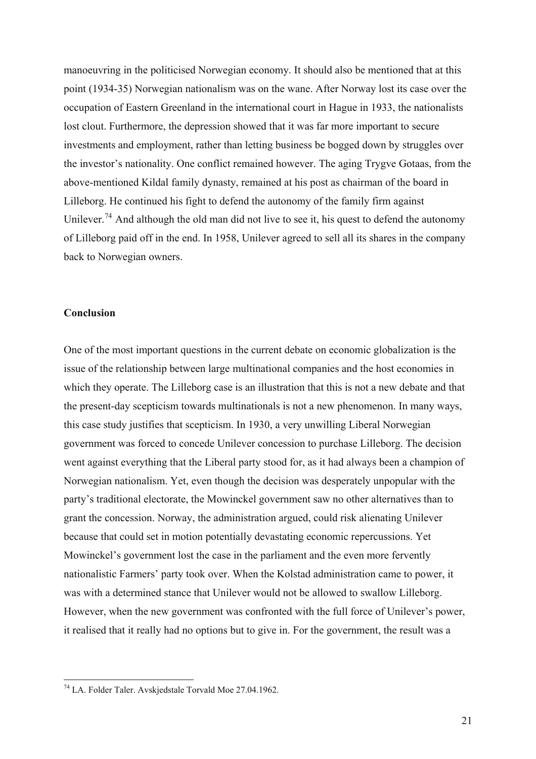manoeuvring in the politicised Norwegian economy. It should also be mentioned that at this point (1934-35) Norwegian nationalism was on the wane. After Norway lost its case over the occupation of Eastern Greenland in the international court in Hague in 1933, the nationalists lost clout. Furthermore, the depression showed that it was far more important to secure investments and employment, rather than letting business be bogged down by struggles over the investor's nationality. One conflict remained however. The aging Trygve Gotaas, from the above-mentioned Kildal family dynasty, remained at his post as chairman of the board in Lilleborg. He continued his fight to defend the autonomy of the family firm against Unilever.<sup>[74](#page-20-0)</sup> And although the old man did not live to see it, his quest to defend the autonomy of Lilleborg paid off in the end. In 1958, Unilever agreed to sell all its shares in the company back to Norwegian owners.

## **Conclusion**

1

One of the most important questions in the current debate on economic globalization is the issue of the relationship between large multinational companies and the host economies in which they operate. The Lilleborg case is an illustration that this is not a new debate and that the present-day scepticism towards multinationals is not a new phenomenon. In many ways, this case study justifies that scepticism. In 1930, a very unwilling Liberal Norwegian government was forced to concede Unilever concession to purchase Lilleborg. The decision went against everything that the Liberal party stood for, as it had always been a champion of Norwegian nationalism. Yet, even though the decision was desperately unpopular with the party's traditional electorate, the Mowinckel government saw no other alternatives than to grant the concession. Norway, the administration argued, could risk alienating Unilever because that could set in motion potentially devastating economic repercussions. Yet Mowinckel's government lost the case in the parliament and the even more fervently nationalistic Farmers' party took over. When the Kolstad administration came to power, it was with a determined stance that Unilever would not be allowed to swallow Lilleborg. However, when the new government was confronted with the full force of Unilever's power, it realised that it really had no options but to give in. For the government, the result was a

<span id="page-20-0"></span><sup>74</sup> LA. Folder Taler. Avskjedstale Torvald Moe 27.04.1962.